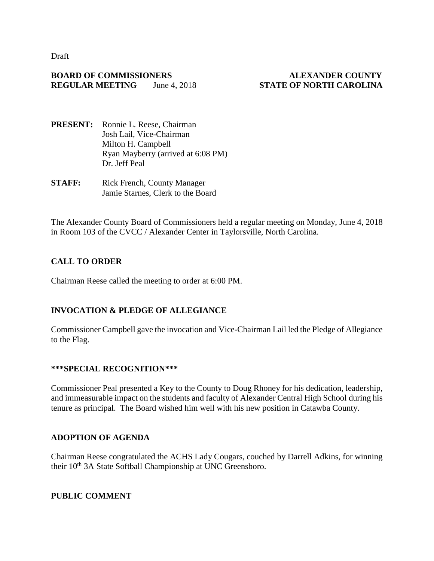Draft

#### **BOARD OF COMMISSIONERS ALEXANDER COUNTY REGULAR MEETING** June 4, 2018 **STATE OF NORTH CAROLINA**

- **PRESENT:** Ronnie L. Reese, Chairman Josh Lail, Vice-Chairman Milton H. Campbell Ryan Mayberry (arrived at 6:08 PM) Dr. Jeff Peal
- **STAFF:** Rick French, County Manager Jamie Starnes, Clerk to the Board

The Alexander County Board of Commissioners held a regular meeting on Monday, June 4, 2018 in Room 103 of the CVCC / Alexander Center in Taylorsville, North Carolina.

# **CALL TO ORDER**

Chairman Reese called the meeting to order at 6:00 PM.

# **INVOCATION & PLEDGE OF ALLEGIANCE**

Commissioner Campbell gave the invocation and Vice-Chairman Lail led the Pledge of Allegiance to the Flag.

#### **\*\*\*SPECIAL RECOGNITION\*\*\***

Commissioner Peal presented a Key to the County to Doug Rhoney for his dedication, leadership, and immeasurable impact on the students and faculty of Alexander Central High School during his tenure as principal. The Board wished him well with his new position in Catawba County.

# **ADOPTION OF AGENDA**

Chairman Reese congratulated the ACHS Lady Cougars, couched by Darrell Adkins, for winning their 10<sup>th</sup> 3A State Softball Championship at UNC Greensboro.

#### **PUBLIC COMMENT**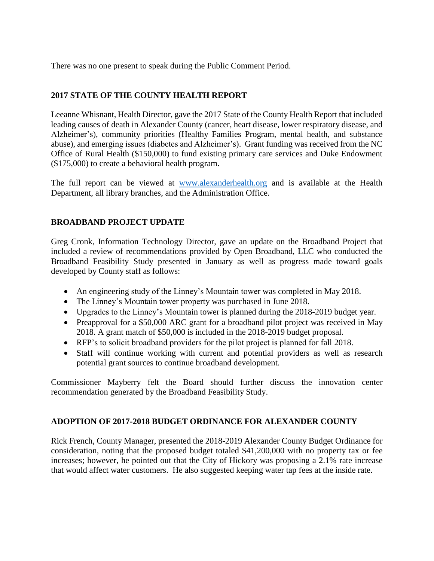There was no one present to speak during the Public Comment Period.

# **2017 STATE OF THE COUNTY HEALTH REPORT**

Leeanne Whisnant, Health Director, gave the 2017 State of the County Health Report that included leading causes of death in Alexander County (cancer, heart disease, lower respiratory disease, and Alzheimer's), community priorities (Healthy Families Program, mental health, and substance abuse), and emerging issues (diabetes and Alzheimer's). Grant funding was received from the NC Office of Rural Health (\$150,000) to fund existing primary care services and Duke Endowment (\$175,000) to create a behavioral health program.

The full report can be viewed at [www.alexanderhealth.org](http://www.alexanderhealth.org/) and is available at the Health Department, all library branches, and the Administration Office.

# **BROADBAND PROJECT UPDATE**

Greg Cronk, Information Technology Director, gave an update on the Broadband Project that included a review of recommendations provided by Open Broadband, LLC who conducted the Broadband Feasibility Study presented in January as well as progress made toward goals developed by County staff as follows:

- An engineering study of the Linney's Mountain tower was completed in May 2018.
- The Linney's Mountain tower property was purchased in June 2018.
- Upgrades to the Linney's Mountain tower is planned during the 2018-2019 budget year.
- Preapproval for a \$50,000 ARC grant for a broadband pilot project was received in May 2018. A grant match of \$50,000 is included in the 2018-2019 budget proposal.
- RFP's to solicit broadband providers for the pilot project is planned for fall 2018.
- Staff will continue working with current and potential providers as well as research potential grant sources to continue broadband development.

Commissioner Mayberry felt the Board should further discuss the innovation center recommendation generated by the Broadband Feasibility Study.

# **ADOPTION OF 2017-2018 BUDGET ORDINANCE FOR ALEXANDER COUNTY**

Rick French, County Manager, presented the 2018-2019 Alexander County Budget Ordinance for consideration, noting that the proposed budget totaled \$41,200,000 with no property tax or fee increases; however, he pointed out that the City of Hickory was proposing a 2.1% rate increase that would affect water customers. He also suggested keeping water tap fees at the inside rate.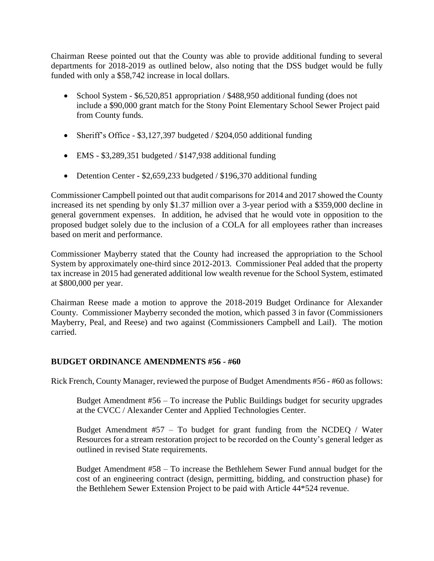Chairman Reese pointed out that the County was able to provide additional funding to several departments for 2018-2019 as outlined below, also noting that the DSS budget would be fully funded with only a \$58,742 increase in local dollars.

- School System \$6,520,851 appropriation / \$488,950 additional funding (does not include a \$90,000 grant match for the Stony Point Elementary School Sewer Project paid from County funds.
- Sheriff's Office \$3,127,397 budgeted / \$204,050 additional funding
- $\bullet$  EMS \$3,289,351 budgeted / \$147,938 additional funding
- Detention Center \$2,659,233 budgeted / \$196,370 additional funding

Commissioner Campbell pointed out that audit comparisons for 2014 and 2017 showed the County increased its net spending by only \$1.37 million over a 3-year period with a \$359,000 decline in general government expenses. In addition, he advised that he would vote in opposition to the proposed budget solely due to the inclusion of a COLA for all employees rather than increases based on merit and performance.

Commissioner Mayberry stated that the County had increased the appropriation to the School System by approximately one-third since 2012-2013. Commissioner Peal added that the property tax increase in 2015 had generated additional low wealth revenue for the School System, estimated at \$800,000 per year.

Chairman Reese made a motion to approve the 2018-2019 Budget Ordinance for Alexander County. Commissioner Mayberry seconded the motion, which passed 3 in favor (Commissioners Mayberry, Peal, and Reese) and two against (Commissioners Campbell and Lail). The motion carried.

# **BUDGET ORDINANCE AMENDMENTS #56 - #60**

Rick French, County Manager, reviewed the purpose of Budget Amendments #56 - #60 as follows:

Budget Amendment #56 – To increase the Public Buildings budget for security upgrades at the CVCC / Alexander Center and Applied Technologies Center.

Budget Amendment  $#57 - To budget for grant funding from the NCDEO / Water$ Resources for a stream restoration project to be recorded on the County's general ledger as outlined in revised State requirements.

Budget Amendment #58 – To increase the Bethlehem Sewer Fund annual budget for the cost of an engineering contract (design, permitting, bidding, and construction phase) for the Bethlehem Sewer Extension Project to be paid with Article 44\*524 revenue.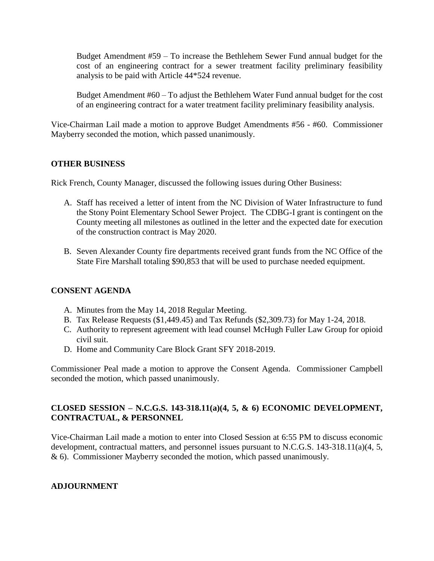Budget Amendment #59 – To increase the Bethlehem Sewer Fund annual budget for the cost of an engineering contract for a sewer treatment facility preliminary feasibility analysis to be paid with Article 44\*524 revenue.

Budget Amendment #60 – To adjust the Bethlehem Water Fund annual budget for the cost of an engineering contract for a water treatment facility preliminary feasibility analysis.

Vice-Chairman Lail made a motion to approve Budget Amendments #56 - #60. Commissioner Mayberry seconded the motion, which passed unanimously.

# **OTHER BUSINESS**

Rick French, County Manager, discussed the following issues during Other Business:

- A. Staff has received a letter of intent from the NC Division of Water Infrastructure to fund the Stony Point Elementary School Sewer Project. The CDBG-I grant is contingent on the County meeting all milestones as outlined in the letter and the expected date for execution of the construction contract is May 2020.
- B. Seven Alexander County fire departments received grant funds from the NC Office of the State Fire Marshall totaling \$90,853 that will be used to purchase needed equipment.

# **CONSENT AGENDA**

- A. Minutes from the May 14, 2018 Regular Meeting.
- B. Tax Release Requests (\$1,449.45) and Tax Refunds (\$2,309.73) for May 1-24, 2018.
- C. Authority to represent agreement with lead counsel McHugh Fuller Law Group for opioid civil suit.
- D. Home and Community Care Block Grant SFY 2018-2019.

Commissioner Peal made a motion to approve the Consent Agenda. Commissioner Campbell seconded the motion, which passed unanimously.

# **CLOSED SESSION – N.C.G.S. 143-318.11(a)(4, 5, & 6) ECONOMIC DEVELOPMENT, CONTRACTUAL, & PERSONNEL**

Vice-Chairman Lail made a motion to enter into Closed Session at 6:55 PM to discuss economic development, contractual matters, and personnel issues pursuant to N.C.G.S. 143-318.11(a)(4, 5, & 6). Commissioner Mayberry seconded the motion, which passed unanimously.

# **ADJOURNMENT**